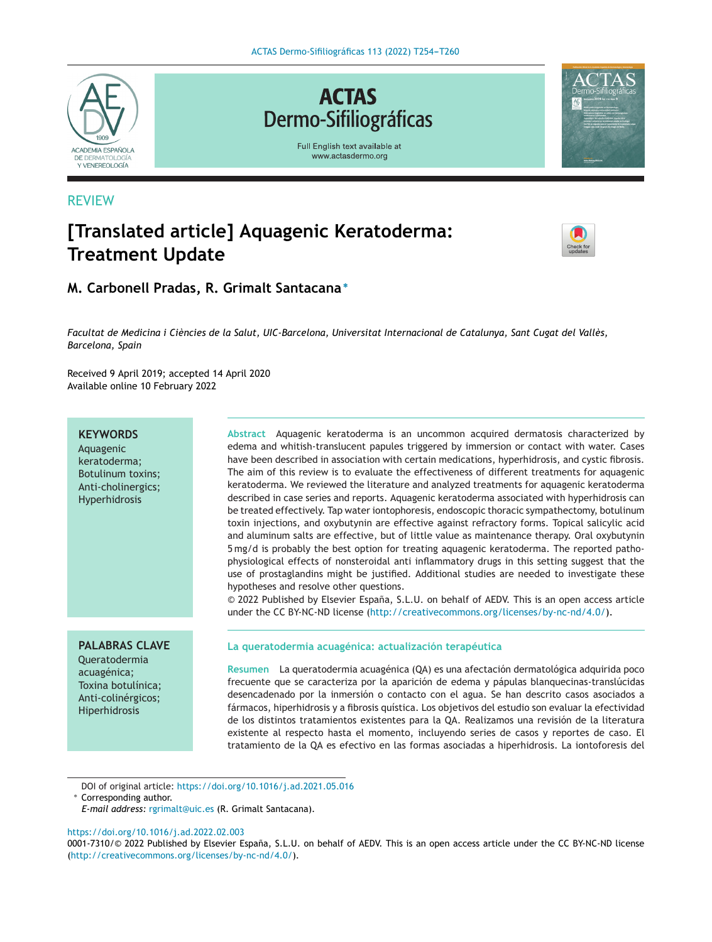**ACTAS Dermo-Sifiliográficas** 

Full English text available at

www.actasdermo.org



## REVIEW

# **[Translated article] Aquagenic Keratoderma: Treatment Update**



## **M. Carbonell Pradas, R. Grimalt Santacana <sup>∗</sup>**

Facultat de Medicina i Ciències de la Salut, UIC-Barcelona, Universitat Internacional de Catalunya, Sant Cugat del Vallès, *Barcelona, Spain*

Received 9 April 2019; accepted 14 April 2020 Available online 10 February 2022

## **KEYWORDS**

Aquagenic keratoderma; Botulinum toxins; Anti-cholinergics; Hyperhidrosis

## **PALABRAS CLAVE**

Queratodermia acuagénica; Toxina botulínica; Anti-colinérgicos; Hiperhidrosis

**Abstract** Aquagenic keratoderma is an uncommon acquired dermatosis characterized by edema and whitish-translucent papules triggered by immersion or contact with water. Cases have been described in association with certain medications, hyperhidrosis, and cystic fibrosis. The aim of this review is to evaluate the effectiveness of different treatments for aquagenic keratoderma. We reviewed the literature and analyzed treatments for aquagenic keratoderma described in case series and reports. Aquagenic keratoderma associated with hyperhidrosis can be treated effectively. Tap water iontophoresis, endoscopic thoracic sympathectomy, botulinum toxin injections, and oxybutynin are effective against refractory forms. Topical salicylic acid and aluminum salts are effective, but of little value as maintenance therapy. Oral oxybutynin 5 mg/d is probably the best option for treating aquagenic keratoderma. The reported pathophysiological effects of nonsteroidal anti inflammatory drugs in this setting suggest that the use of prostaglandins might be justified. Additional studies are needed to investigate these hypotheses and resolve other questions.

© 2022 Published by Elsevier Espana, ˜ S.L.U. on behalf of AEDV. This is an open access article under the CC BY-NC-ND license (<http://creativecommons.org/licenses/by-nc-nd/4.0/>).

## **La queratodermia acuagénica: actualización terapéutica**

**Resumen** La queratodermia acuagénica (QA) es una afectación dermatológica adquirida poco frecuente que se caracteriza por la aparición de edema y pápulas blanquecinas-translúcidas desencadenado por la inmersión o contacto con el agua. Se han descrito casos asociados a fármacos, hiperhidrosis y a fibrosis quística. Los objetivos del estudio son evaluar la efectividad de los distintos tratamientos existentes para la QA. Realizamos una revisión de la literatura existente al respecto hasta el momento, incluyendo series de casos y reportes de caso. El tratamiento de la QA es efectivo en las formas asociadas a hiperhidrosis. La iontoforesis del

DOI of original article: <https://doi.org/10.1016/j.ad.2021.05.016> ∗ Corresponding author.

*E-mail address:* [rgrimalt@uic.es](mailto:rgrimalt@uic.es) (R. Grimalt Santacana).

#### <https://doi.org/10.1016/j.ad.2022.02.003>

0001-7310/© 2022 Published by Elsevier España, S.L.U. on behalf of AEDV. This is an open access article under the CC BY-NC-ND license [\(http://creativecommons.org/licenses/by-nc-nd/4.0/](http://creativecommons.org/licenses/by-nc-nd/4.0/)).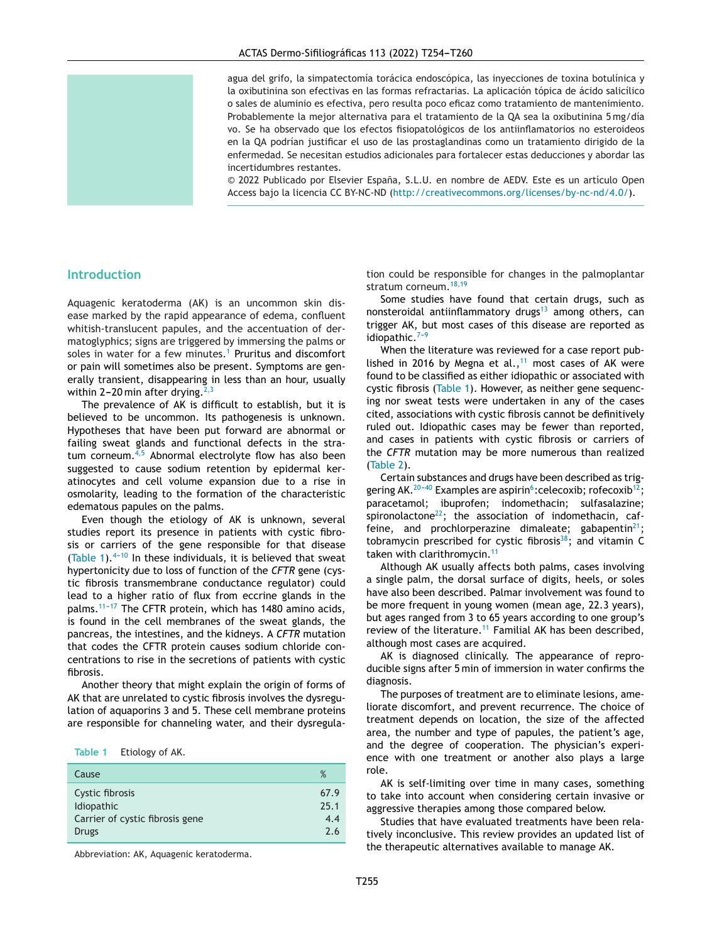agua del grifo, la simpatectomía torácica endoscópica, las inyecciones de toxina botulínica y la oxibutinina son efectivas en las formas refractarias. La aplicación tópica de ácido salicílico o sales de aluminio es efectiva, pero resulta poco eficaz como tratamiento de mantenimiento. Probablemente la mejor alternativa para el tratamiento de la QA sea la oxibutinina 5 mg/día vo. Se ha observado que los efectos fisiopatológicos de los antiinflamatorios no esteroideos en la QA podrían justificar el uso de las prostaglandinas como un tratamiento dirigido de la enfermedad. Se necesitan estudios adicionales para fortalecer estas deducciones y abordar las incertidumbres restantes.

 $© 2022$  Publicado por Elsevier España, S.L.U. en nombre de AEDV. Este es un artículo Open Access bajo la licencia CC BY-NC-ND (<http://creativecommons.org/licenses/by-nc-nd/4.0/>).

## **Introduction**

Aquagenic keratoderma (AK) is an uncommon skin disease marked by the rapid appearance of edema, confluent whitish-translucent papules, and the accentuation of dermatoglyphics; signs are triggered by immersing the palms or soles in water for a few minutes.<sup>[1](#page-5-0)</sup> Pruritus and discomfort or pain will sometimes also be present. Symptoms are generally transient, disappearing in less than an hour, usually within 2-20 min after drying.<sup>[2,3](#page-5-0)</sup>

The prevalence of AK is difficult to establish, but it is believed to be uncommon. Its pathogenesis is unknown. Hypotheses that have been put forward are abnormal or failing sweat glands and functional defects in the stra-tum corneum.<sup>[4,5](#page-5-0)</sup> Abnormal electrolyte flow has also been suggested to cause sodium retention by epidermal keratinocytes and cell volume expansion due to a rise in osmolarity, leading to the formation of the characteristic edematous papules on the palms.

Even though the etiology of AK is unknown, several studies report its presence in patients with cystic fibrosis or carriers of the gene responsible for that disease (Table 1). $4-10$  In these individuals, it is believed that sweat hypertonicity due to loss of function of the *CFTR* gene (cystic fibrosis transmembrane conductance regulator) could lead to a higher ratio of flux from eccrine glands in the palms.<sup>11-17</sup> The CFTR protein, which has 1480 amino acids, is found in the cell membranes of the sweat glands, the pancreas, the intestines, and the kidneys. A *CFTR* mutation that codes the CFTR protein causes sodium chloride concentrations to rise in the secretions of patients with cystic fibrosis.

Another theory that might explain the origin of forms of AK that are unrelated to cystic fibrosis involves the dysregulation of aquaporins 3 and 5. These cell membrane proteins are responsible for channeling water, and their dysregula-

| Etiology of AK.<br>Table 1 |
|----------------------------|
|----------------------------|

| Cause                           | %    |
|---------------------------------|------|
| Cystic fibrosis                 | 67.9 |
| <b>Idiopathic</b>               | 25.1 |
| Carrier of cystic fibrosis gene | 4.4  |
| <b>Drugs</b>                    | 26   |

Abbreviation: AK, Aquagenic keratoderma.

tion could be responsible for changes in the palmoplantar stratum corneum.<sup>[18,19](#page-5-0)</sup>

Some studies have found that certain drugs, such as nonsteroidal antiinflammatory drugs $13$  among others, can trigger AK, but most cases of this disease are reported as idiopathic. $7-9$ 

When the literature was reviewed for a case report pub-lished in 2016 by Megna et al.,<sup>[11](#page-5-0)</sup> most cases of AK were found to be classified as either idiopathic or associated with cystic fibrosis (Table 1). However, as neither gene sequencing nor sweat tests were undertaken in any of the cases cited, associations with cystic fibrosis cannot be definitively ruled out. Idiopathic cases may be fewer than reported, and cases in patients with cystic fibrosis or carriers of the *CFTR* mutation may be more numerous than realized ([Table](#page-2-0) 2).

Certain substances and drugs have been described as triggering AK.<sup>20-40</sup> Examples are aspirin<sup>6</sup>: celecoxib; rofecoxib<sup>12</sup>; paracetamol; ibuprofen; indomethacin; sulfasalazine; spironolactone $^{22}$ ; the association of indomethacin, caffeine, and prochlorperazine dimaleate; gabapentin $2^1$ ; tobramycin prescribed for cystic fibrosis<sup>38</sup>; and vitamin C taken with clarithromycin.<sup>[11](#page-5-0)</sup>

Although AK usually affects both palms, cases involving a single palm, the dorsal surface of digits, heels, or soles have also been described. Palmar involvement was found to be more frequent in young women (mean age, 22.3 years), but ages ranged from 3 to 65 years according to one group's review of the literature.<sup>[11](#page-5-0)</sup> Familial AK has been described, although most cases are acquired.

AK is diagnosed clinically. The appearance of reproducible signs after 5 min of immersion in water confirms the diagnosis.

The purposes of treatment are to eliminate lesions, ameliorate discomfort, and prevent recurrence. The choice of treatment depends on location, the size of the affected area, the number and type of papules, the patient's age, and the degree of cooperation. The physician's experience with one treatment or another also plays a large role.

AK is self-limiting over time in many cases, something to take into account when considering certain invasive or aggressive therapies among those compared below.

Studies that have evaluated treatments have been relatively inconclusive. This review provides an updated list of the therapeutic alternatives available to manage AK.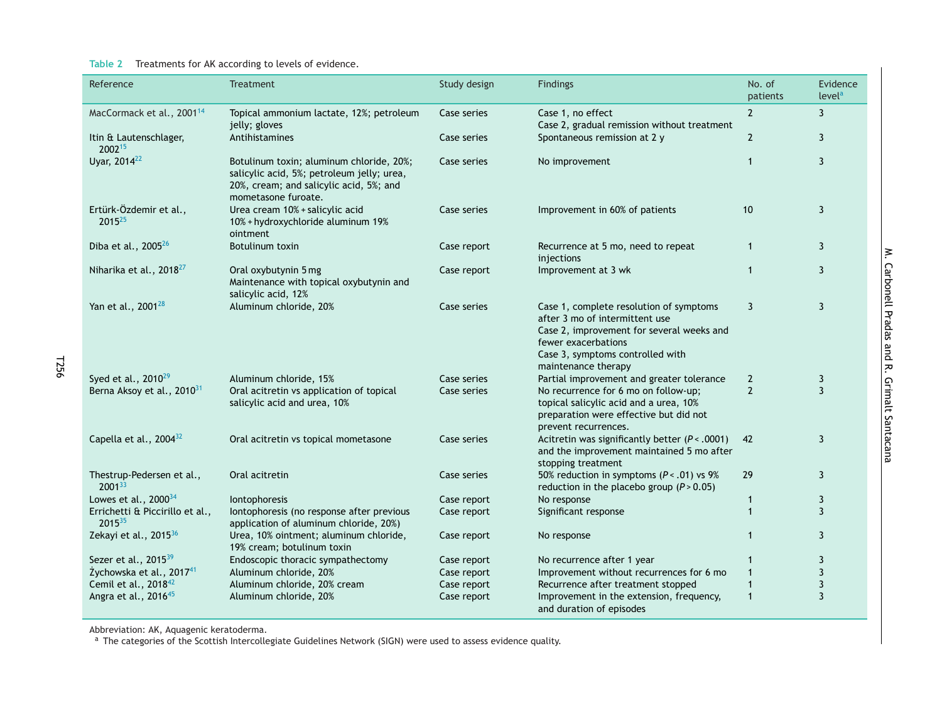#### <span id="page-2-0"></span>**Table 2** Treatments for AK according to levels of evidence.

| Reference                                             | <b>Treatment</b>                                                                                                                                         | Study design | Findings                                                                                                                                                                                                 | No. of<br>patients | Evidence<br>level <sup>a</sup> |
|-------------------------------------------------------|----------------------------------------------------------------------------------------------------------------------------------------------------------|--------------|----------------------------------------------------------------------------------------------------------------------------------------------------------------------------------------------------------|--------------------|--------------------------------|
| MacCormack et al., 2001 <sup>14</sup>                 | Topical ammonium lactate, 12%; petroleum<br>jelly; gloves                                                                                                | Case series  | Case 1, no effect<br>Case 2, gradual remission without treatment                                                                                                                                         | $\overline{2}$     | $\mathbf{3}$                   |
| Itin & Lautenschlager,<br>200215                      | Antihistamines                                                                                                                                           | Case series  | Spontaneous remission at 2 y                                                                                                                                                                             | $\overline{2}$     | 3                              |
| Uyar, 2014 <sup>22</sup>                              | Botulinum toxin; aluminum chloride, 20%;<br>salicylic acid, 5%; petroleum jelly; urea,<br>20%, cream; and salicylic acid, 5%; and<br>mometasone furoate. | Case series  | No improvement                                                                                                                                                                                           | $\mathbf{1}$       | 3                              |
| Ertürk-Özdemir et al.,<br>2015 <sup>25</sup>          | Urea cream 10% + salicylic acid<br>10% + hydroxychloride aluminum 19%<br>ointment                                                                        | Case series  | Improvement in 60% of patients                                                                                                                                                                           | 10                 | 3                              |
| Diba et al., $2005^{26}$                              | Botulinum toxin                                                                                                                                          | Case report  | Recurrence at 5 mo, need to repeat<br>injections                                                                                                                                                         | $\mathbf{1}$       | $\mathbf{3}$                   |
| Niharika et al., 2018 <sup>27</sup>                   | Oral oxybutynin 5 mg<br>Maintenance with topical oxybutynin and<br>salicylic acid, 12%                                                                   | Case report  | Improvement at 3 wk                                                                                                                                                                                      | $\mathbf{1}$       | 3                              |
| Yan et al., 2001 <sup>28</sup>                        | Aluminum chloride, 20%                                                                                                                                   | Case series  | Case 1, complete resolution of symptoms<br>after 3 mo of intermittent use<br>Case 2, improvement for several weeks and<br>fewer exacerbations<br>Case 3, symptoms controlled with<br>maintenance therapy | 3                  | 3                              |
| Syed et al., 2010 <sup>29</sup>                       | Aluminum chloride, 15%                                                                                                                                   | Case series  | Partial improvement and greater tolerance                                                                                                                                                                | $\overline{2}$     | 3                              |
| Berna Aksoy et al., 2010 <sup>31</sup>                | Oral acitretin vs application of topical<br>salicylic acid and urea, 10%                                                                                 | Case series  | No recurrence for 6 mo on follow-up;<br>topical salicylic acid and a urea, 10%<br>preparation were effective but did not<br>prevent recurrences.                                                         | $\overline{2}$     | $\overline{3}$                 |
| Capella et al., $2004^{32}$                           | Oral acitretin vs topical mometasone                                                                                                                     | Case series  | Acitretin was significantly better $(P < .0001)$<br>and the improvement maintained 5 mo after<br>stopping treatment                                                                                      | 42                 | 3                              |
| Thestrup-Pedersen et al.,<br>200133                   | Oral acitretin                                                                                                                                           | Case series  | 50% reduction in symptoms $(P < .01)$ vs 9%<br>reduction in the placebo group $(P > 0.05)$                                                                                                               | 29                 | 3                              |
| Lowes et al., $2000^{34}$                             | Iontophoresis                                                                                                                                            | Case report  | No response                                                                                                                                                                                              | $\mathbf{1}$       | 3                              |
| Errichetti & Piccirillo et al.,<br>2015 <sup>35</sup> | lontophoresis (no response after previous<br>application of aluminum chloride, 20%)                                                                      | Case report  | Significant response                                                                                                                                                                                     | $\mathbf{1}$       | 3                              |
| Zekayi et al., 2015 <sup>36</sup>                     | Urea, 10% ointment; aluminum chloride,<br>19% cream; botulinum toxin                                                                                     | Case report  | No response                                                                                                                                                                                              | $\mathbf{1}$       | 3                              |
| Sezer et al., 2015 <sup>39</sup>                      | Endoscopic thoracic sympathectomy                                                                                                                        | Case report  | No recurrence after 1 year                                                                                                                                                                               | $\mathbf{1}$       | 3                              |
| Żychowska et al., 201741                              | Aluminum chloride, 20%                                                                                                                                   | Case report  | Improvement without recurrences for 6 mo                                                                                                                                                                 | $\mathbf{1}$       | $\mathbf{3}$                   |
| Cemil et al., 2018 <sup>42</sup>                      | Aluminum chloride, 20% cream                                                                                                                             | Case report  | Recurrence after treatment stopped                                                                                                                                                                       | $\mathbf{1}$       | $\mathbf{3}$                   |
| Angra et al., 2016 <sup>45</sup>                      | Aluminum chloride, 20%                                                                                                                                   | Case report  | Improvement in the extension, frequency,<br>and duration of episodes                                                                                                                                     | $\mathbf{1}$       | 3                              |

T256

Abbreviation: AK, Aquagenic keratoderma.<br><sup>a</sup> The categories of the Scottish Intercollegiate Guidelines Network (SIGN) were used to assess evidence quality.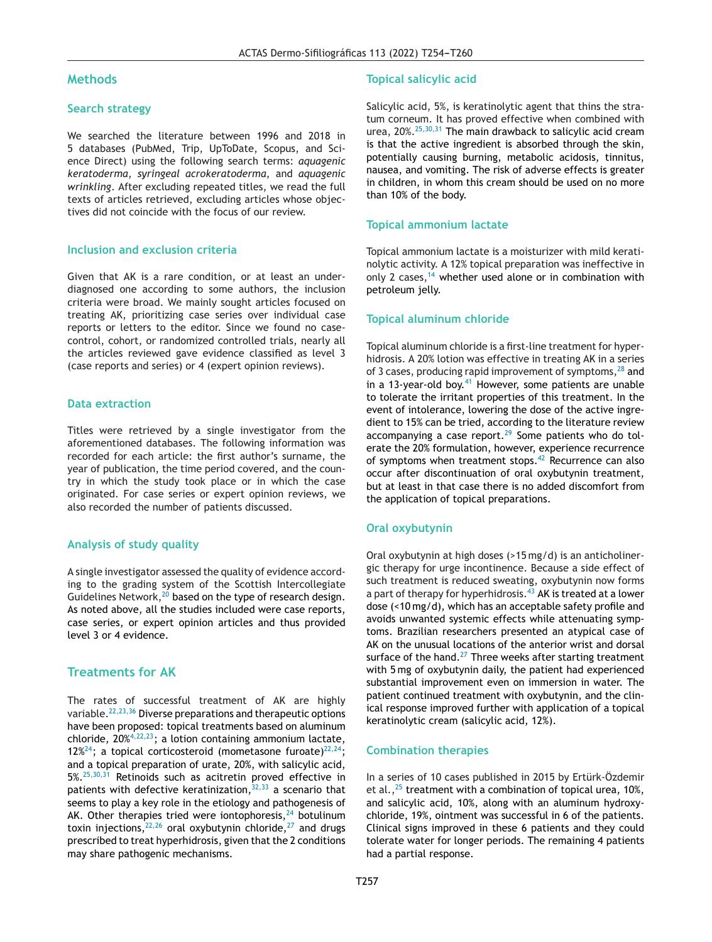## **Methods**

## **Search strategy**

We searched the literature between 1996 and 2018 in 5 databases (PubMed, Trip, UpToDate, Scopus, and Science Direct) using the following search terms: *aquagenic keratoderma*, *syringeal acrokeratoderma*, and *aquagenic wrinkling*. After excluding repeated titles, we read the full texts of articles retrieved, excluding articles whose objectives did not coincide with the focus of our review.

## **Inclusion and exclusion criteria**

Given that AK is a rare condition, or at least an underdiagnosed one according to some authors, the inclusion criteria were broad. We mainly sought articles focused on treating AK, prioritizing case series over individual case reports or letters to the editor. Since we found no casecontrol, cohort, or randomized controlled trials, nearly all the articles reviewed gave evidence classified as level 3 (case reports and series) or 4 (expert opinion reviews).

## **Data extraction**

Titles were retrieved by a single investigator from the aforementioned databases. The following information was recorded for each article: the first author's surname, the year of publication, the time period covered, and the country in which the study took place or in which the case originated. For case series or expert opinion reviews, we also recorded the number of patients discussed.

## **Analysis of study quality**

A single investigator assessed the quality of evidence according to the grading system of the Scottish Intercollegiate Guidelines Network, $20$  based on the type of research design. As noted above, all the studies included were case reports, case series, or expert opinion articles and thus provided level 3 or 4 evidence.

## **Treatments for AK**

The rates of successful treatment of AK are highly variable.[22,23,36](#page-5-0) Diverse preparations and therapeutic options have been proposed: topical treatments based on aluminum chloride, 20%[4,22,23;](#page-5-0) a lotion containing ammonium lactate, 12%<sup>24</sup>; a topical corticosteroid (mometasone furoate)<sup>22,24</sup>; and a topical preparation of urate, 20%, with salicylic acid,  $5\%.$ <sup>[25,30,31](#page-5-0)</sup> Retinoids such as acitretin proved effective in patients with defective keratinization,  $32,33$  a scenario that seems to play a key role in the etiology and pathogenesis of AK. Other therapies tried were iontophoresis,  $24$  botulinum toxin injections,  $22,26$  oral oxybutynin chloride,  $27$  and drugs prescribed to treat hyperhidrosis, given that the 2 conditions may share pathogenic mechanisms.

#### **Topical salicylic acid**

Salicylic acid, 5%, is keratinolytic agent that thins the stratum corneum. It has proved effective when combined with urea, 20%.[25,30,31](#page-5-0) The main drawback to salicylic acid cream is that the active ingredient is absorbed through the skin, potentially causing burning, metabolic acidosis, tinnitus, nausea, and vomiting. The risk of adverse effects is greater in children, in whom this cream should be used on no more than 10% of the body.

#### **Topical ammonium lactate**

Topical ammonium lactate is a moisturizer with mild keratinolytic activity. A 12% topical preparation was ineffective in only 2 cases,  $14$  whether used alone or in combination with petroleum jelly.

#### **Topical aluminum chloride**

Topical aluminum chloride is a first-line treatment for hyperhidrosis. A 20% lotion was effective in treating AK in a series of 3 cases, producing rapid improvement of symptoms, $^{28}$  $^{28}$  $^{28}$  and in a 13-year-old boy. $41$  However, some patients are unable to tolerate the irritant properties of this treatment. In the event of intolerance, lowering the dose of the active ingredient to 15% can be tried, according to the literature review accompanying a case report. $29$  Some patients who do tolerate the 20% formulation, however, experience recurrence of symptoms when treatment stops. $42$  Recurrence can also occur after discontinuation of oral oxybutynin treatment, but at least in that case there is no added discomfort from the application of topical preparations.

#### **Oral oxybutynin**

Oral oxybutynin at high doses (>15 mg/d) is an anticholinergic therapy for urge incontinence. Because a side effect of such treatment is reduced sweating, oxybutynin now forms a part of therapy for hyperhidrosis.<sup>[43](#page-6-0)</sup> AK is treated at a lower dose (<10 mg/d), which has an acceptable safety profile and avoids unwanted systemic effects while attenuating symptoms. Brazilian researchers presented an atypical case of AK on the unusual locations of the anterior wrist and dorsal surface of the hand.<sup>[27](#page-5-0)</sup> Three weeks after starting treatment with 5 mg of oxybutynin daily, the patient had experienced substantial improvement even on immersion in water. The patient continued treatment with oxybutynin, and the clinical response improved further with application of a topical keratinolytic cream (salicylic acid, 12%).

#### **Combination therapies**

In a series of 10 cases published in 2015 by Ertürk-Özdemir et al.,  $25$  treatment with a combination of topical urea, 10%, and salicylic acid, 10%, along with an aluminum hydroxychloride, 19%, ointment was successful in 6 of the patients. Clinical signs improved in these 6 patients and they could tolerate water for longer periods. The remaining 4 patients had a partial response.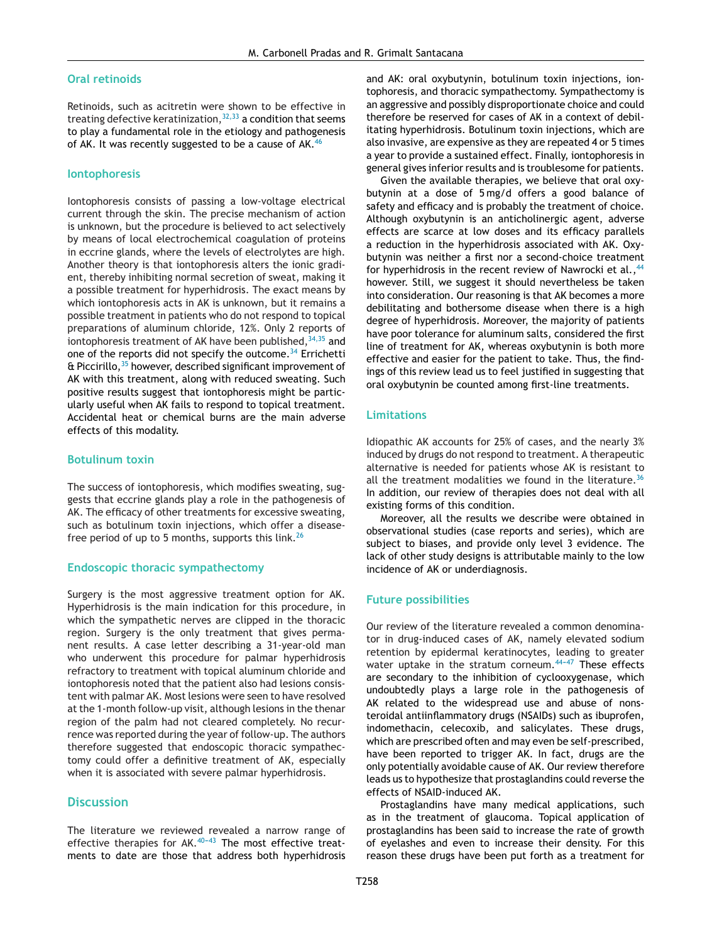#### **Oral retinoids**

Retinoids, such as acitretin were shown to be effective in treating defective keratinization,  $32,33$  a condition that seems to play a fundamental role in the etiology and pathogenesis of AK. It was recently suggested to be a cause of AK.<sup>[46](#page-6-0)</sup>

#### **Iontophoresis**

Iontophoresis consists of passing a low-voltage electrical current through the skin. The precise mechanism of action is unknown, but the procedure is believed to act selectively by means of local electrochemical coagulation of proteins in eccrine glands, where the levels of electrolytes are high. Another theory is that iontophoresis alters the ionic gradient, thereby inhibiting normal secretion of sweat, making it a possible treatment for hyperhidrosis. The exact means by which iontophoresis acts in AK is unknown, but it remains a possible treatment in patients who do not respond to topical preparations of aluminum chloride, 12%. Only 2 reports of iontophoresis treatment of AK have been published,  $34,35$  and one of the reports did not specify the outcome.  $34$  Errichetti & Piccirillo,[35](#page-6-0) however, described significant improvement of AK with this treatment, along with reduced sweating. Such positive results suggest that iontophoresis might be particularly useful when AK fails to respond to topical treatment. Accidental heat or chemical burns are the main adverse effects of this modality.

## **Botulinum toxin**

The success of iontophoresis, which modifies sweating, suggests that eccrine glands play a role in the pathogenesis of AK. The efficacy of other treatments for excessive sweating, such as botulinum toxin injections, which offer a disease-free period of up to 5 months, supports this link.<sup>[26](#page-5-0)</sup>

#### **Endoscopic thoracic sympathectomy**

Surgery is the most aggressive treatment option for AK. Hyperhidrosis is the main indication for this procedure, in which the sympathetic nerves are clipped in the thoracic region. Surgery is the only treatment that gives permanent results. A case letter describing a 31-year-old man who underwent this procedure for palmar hyperhidrosis refractory to treatment with topical aluminum chloride and iontophoresis noted that the patient also had lesions consistent with palmar AK. Most lesions were seen to have resolved at the 1-month follow-up visit, although lesions in the thenar region of the palm had not cleared completely. No recurrence was reported during the year of follow-up. The authors therefore suggested that endoscopic thoracic sympathectomy could offer a definitive treatment of AK, especially when it is associated with severe palmar hyperhidrosis.

## **Discussion**

The literature we reviewed revealed a narrow range of effective therapies for  $AK.40-43$  The most effective treatments to date are those that address both hyperhidrosis and AK: oral oxybutynin, botulinum toxin injections, iontophoresis, and thoracic sympathectomy. Sympathectomy is an aggressive and possibly disproportionate choice and could therefore be reserved for cases of AK in a context of debilitating hyperhidrosis. Botulinum toxin injections, which are also invasive, are expensive as they are repeated 4 or 5 times a year to provide a sustained effect. Finally, iontophoresis in general gives inferior results and is troublesome for patients.

Given the available therapies, we believe that oral oxybutynin at a dose of 5 mg/d offers a good balance of safety and efficacy and is probably the treatment of choice. Although oxybutynin is an anticholinergic agent, adverse effects are scarce at low doses and its efficacy parallels a reduction in the hyperhidrosis associated with AK. Oxybutynin was neither a first nor a second-choice treatment for hyperhidrosis in the recent review of Nawrocki et al., <sup>[44](#page-6-0)</sup> however. Still, we suggest it should nevertheless be taken into consideration. Our reasoning is that AK becomes a more debilitating and bothersome disease when there is a high degree of hyperhidrosis. Moreover, the majority of patients have poor tolerance for aluminum salts, considered the first line of treatment for AK, whereas oxybutynin is both more effective and easier for the patient to take. Thus, the findings of this review lead us to feel justified in suggesting that oral oxybutynin be counted among first-line treatments.

#### **Limitations**

Idiopathic AK accounts for 25% of cases, and the nearly 3% induced by drugs do not respond to treatment. A therapeutic alternative is needed for patients whose AK is resistant to all the treatment modalities we found in the literature.<sup>[36](#page-6-0)</sup> In addition, our review of therapies does not deal with all existing forms of this condition.

Moreover, all the results we describe were obtained in observational studies (case reports and series), which are subject to biases, and provide only level 3 evidence. The lack of other study designs is attributable mainly to the low incidence of AK or underdiagnosis.

#### **Future possibilities**

Our review of the literature revealed a common denominator in drug-induced cases of AK, namely elevated sodium retention by epidermal keratinocytes, leading to greater water uptake in the stratum corneum. $44-47$  These effects are secondary to the inhibition of cyclooxygenase, which undoubtedly plays a large role in the pathogenesis of AK related to the widespread use and abuse of nonsteroidal antiinflammatory drugs (NSAIDs) such as ibuprofen, indomethacin, celecoxib, and salicylates. These drugs, which are prescribed often and may even be self-prescribed, have been reported to trigger AK. In fact, drugs are the only potentially avoidable cause of AK. Our review therefore leads us to hypothesize that prostaglandins could reverse the effects of NSAID-induced AK.

Prostaglandins have many medical applications, such as in the treatment of glaucoma. Topical application of prostaglandins has been said to increase the rate of growth of eyelashes and even to increase their density. For this reason these drugs have been put forth as a treatment for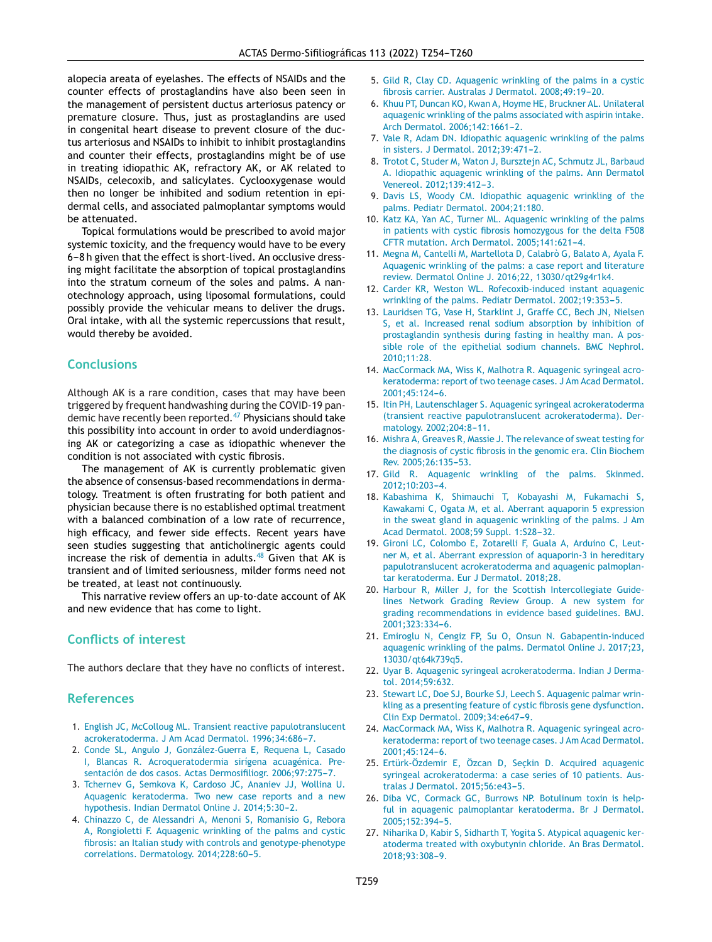<span id="page-5-0"></span>alopecia areata of eyelashes. The effects of NSAIDs and the counter effects of prostaglandins have also been seen in the management of persistent ductus arteriosus patency or premature closure. Thus, just as prostaglandins are used in congenital heart disease to prevent closure of the ductus arteriosus and NSAIDs to inhibit to inhibit prostaglandins and counter their effects, prostaglandins might be of use in treating idiopathic AK, refractory AK, or AK related to NSAIDs, celecoxib, and salicylates. Cyclooxygenase would then no longer be inhibited and sodium retention in epidermal cells, and associated palmoplantar symptoms would be attenuated.

Topical formulations would be prescribed to avoid major systemic toxicity, and the frequency would have to be every 6-8 h given that the effect is short-lived. An occlusive dressing might facilitate the absorption of topical prostaglandins into the stratum corneum of the soles and palms. A nanotechnology approach, using liposomal formulations, could possibly provide the vehicular means to deliver the drugs. Oral intake, with all the systemic repercussions that result, would thereby be avoided.

## **Conclusions**

Although AK is a rare condition, cases that may have been triggered by frequent handwashing during the COVID-19 pan-demic have recently been reported.<sup>[47](#page-6-0)</sup> Physicians should take this possibility into account in order to avoid underdiagnosing AK or categorizing a case as idiopathic whenever the condition is not associated with cystic fibrosis.

The management of AK is currently problematic given the absence of consensus-based recommendations in dermatology. Treatment is often frustrating for both patient and physician because there is no established optimal treatment with a balanced combination of a low rate of recurrence, high efficacy, and fewer side effects. Recent years have seen studies suggesting that anticholinergic agents could increase the risk of dementia in adults.<sup>[48](#page-6-0)</sup> Given that AK is transient and of limited seriousness, milder forms need not be treated, at least not continuously.

This narrative review offers an up-to-date account of AK and new evidence that has come to light.

## **Conflicts of interest**

The authors declare that they have no conflicts of interest.

## **References**

- 1. [English](http://refhub.elsevier.com/S0001-7310(22)00123-5/sbref0245) [JC,](http://refhub.elsevier.com/S0001-7310(22)00123-5/sbref0245) [McColloug](http://refhub.elsevier.com/S0001-7310(22)00123-5/sbref0245) [ML.](http://refhub.elsevier.com/S0001-7310(22)00123-5/sbref0245) [Transient](http://refhub.elsevier.com/S0001-7310(22)00123-5/sbref0245) [reactive](http://refhub.elsevier.com/S0001-7310(22)00123-5/sbref0245) [papulotranslucent](http://refhub.elsevier.com/S0001-7310(22)00123-5/sbref0245) [acrokeratoderma.](http://refhub.elsevier.com/S0001-7310(22)00123-5/sbref0245) [J](http://refhub.elsevier.com/S0001-7310(22)00123-5/sbref0245) [Am](http://refhub.elsevier.com/S0001-7310(22)00123-5/sbref0245) [Acad](http://refhub.elsevier.com/S0001-7310(22)00123-5/sbref0245) [Dermatol.](http://refhub.elsevier.com/S0001-7310(22)00123-5/sbref0245) [1996;34:686](http://refhub.elsevier.com/S0001-7310(22)00123-5/sbref0245)-[7.](http://refhub.elsevier.com/S0001-7310(22)00123-5/sbref0245)
- 2. [Conde](http://refhub.elsevier.com/S0001-7310(22)00123-5/sbref0250) [SL,](http://refhub.elsevier.com/S0001-7310(22)00123-5/sbref0250) [Angulo](http://refhub.elsevier.com/S0001-7310(22)00123-5/sbref0250) [J,](http://refhub.elsevier.com/S0001-7310(22)00123-5/sbref0250) [González-Guerra](http://refhub.elsevier.com/S0001-7310(22)00123-5/sbref0250) [E,](http://refhub.elsevier.com/S0001-7310(22)00123-5/sbref0250) [Requena](http://refhub.elsevier.com/S0001-7310(22)00123-5/sbref0250) [L,](http://refhub.elsevier.com/S0001-7310(22)00123-5/sbref0250) [Casado](http://refhub.elsevier.com/S0001-7310(22)00123-5/sbref0250) [I,](http://refhub.elsevier.com/S0001-7310(22)00123-5/sbref0250) [Blancas](http://refhub.elsevier.com/S0001-7310(22)00123-5/sbref0250) [R.](http://refhub.elsevier.com/S0001-7310(22)00123-5/sbref0250) [Acroqueratodermia](http://refhub.elsevier.com/S0001-7310(22)00123-5/sbref0250) [sirígena](http://refhub.elsevier.com/S0001-7310(22)00123-5/sbref0250) [acuagénica.](http://refhub.elsevier.com/S0001-7310(22)00123-5/sbref0250) [Pre](http://refhub.elsevier.com/S0001-7310(22)00123-5/sbref0250)[sentación](http://refhub.elsevier.com/S0001-7310(22)00123-5/sbref0250) [de](http://refhub.elsevier.com/S0001-7310(22)00123-5/sbref0250) [dos](http://refhub.elsevier.com/S0001-7310(22)00123-5/sbref0250) [casos.](http://refhub.elsevier.com/S0001-7310(22)00123-5/sbref0250) [Actas](http://refhub.elsevier.com/S0001-7310(22)00123-5/sbref0250) [Dermosifiliogr.](http://refhub.elsevier.com/S0001-7310(22)00123-5/sbref0250) 2006;97:275-7.
- 3. [Tchernev](http://refhub.elsevier.com/S0001-7310(22)00123-5/sbref0255) [G,](http://refhub.elsevier.com/S0001-7310(22)00123-5/sbref0255) [Semkova](http://refhub.elsevier.com/S0001-7310(22)00123-5/sbref0255) [K,](http://refhub.elsevier.com/S0001-7310(22)00123-5/sbref0255) [Cardoso](http://refhub.elsevier.com/S0001-7310(22)00123-5/sbref0255) [JC,](http://refhub.elsevier.com/S0001-7310(22)00123-5/sbref0255) [Ananiev](http://refhub.elsevier.com/S0001-7310(22)00123-5/sbref0255) [JJ,](http://refhub.elsevier.com/S0001-7310(22)00123-5/sbref0255) [Wollina](http://refhub.elsevier.com/S0001-7310(22)00123-5/sbref0255) [U.](http://refhub.elsevier.com/S0001-7310(22)00123-5/sbref0255) [Aquagenic](http://refhub.elsevier.com/S0001-7310(22)00123-5/sbref0255) [keratoderma.](http://refhub.elsevier.com/S0001-7310(22)00123-5/sbref0255) [Two](http://refhub.elsevier.com/S0001-7310(22)00123-5/sbref0255) [new](http://refhub.elsevier.com/S0001-7310(22)00123-5/sbref0255) [case](http://refhub.elsevier.com/S0001-7310(22)00123-5/sbref0255) [reports](http://refhub.elsevier.com/S0001-7310(22)00123-5/sbref0255) [and](http://refhub.elsevier.com/S0001-7310(22)00123-5/sbref0255) [a](http://refhub.elsevier.com/S0001-7310(22)00123-5/sbref0255) [new](http://refhub.elsevier.com/S0001-7310(22)00123-5/sbref0255) [hypothesis.](http://refhub.elsevier.com/S0001-7310(22)00123-5/sbref0255) [Indian](http://refhub.elsevier.com/S0001-7310(22)00123-5/sbref0255) [Dermatol](http://refhub.elsevier.com/S0001-7310(22)00123-5/sbref0255) [Online](http://refhub.elsevier.com/S0001-7310(22)00123-5/sbref0255) [J.](http://refhub.elsevier.com/S0001-7310(22)00123-5/sbref0255) 2014;5:30-2.
- 4. [Chinazzo](http://refhub.elsevier.com/S0001-7310(22)00123-5/sbref0260) [C,](http://refhub.elsevier.com/S0001-7310(22)00123-5/sbref0260) [de](http://refhub.elsevier.com/S0001-7310(22)00123-5/sbref0260) [Alessandri](http://refhub.elsevier.com/S0001-7310(22)00123-5/sbref0260) [A,](http://refhub.elsevier.com/S0001-7310(22)00123-5/sbref0260) [Menoni](http://refhub.elsevier.com/S0001-7310(22)00123-5/sbref0260) [S,](http://refhub.elsevier.com/S0001-7310(22)00123-5/sbref0260) [Romanisio](http://refhub.elsevier.com/S0001-7310(22)00123-5/sbref0260) [G,](http://refhub.elsevier.com/S0001-7310(22)00123-5/sbref0260) [Rebora](http://refhub.elsevier.com/S0001-7310(22)00123-5/sbref0260) [A,](http://refhub.elsevier.com/S0001-7310(22)00123-5/sbref0260) [Rongioletti](http://refhub.elsevier.com/S0001-7310(22)00123-5/sbref0260) [F.](http://refhub.elsevier.com/S0001-7310(22)00123-5/sbref0260) [Aquagenic](http://refhub.elsevier.com/S0001-7310(22)00123-5/sbref0260) [wrinkling](http://refhub.elsevier.com/S0001-7310(22)00123-5/sbref0260) [of](http://refhub.elsevier.com/S0001-7310(22)00123-5/sbref0260) [the](http://refhub.elsevier.com/S0001-7310(22)00123-5/sbref0260) [palms](http://refhub.elsevier.com/S0001-7310(22)00123-5/sbref0260) [and](http://refhub.elsevier.com/S0001-7310(22)00123-5/sbref0260) [cystic](http://refhub.elsevier.com/S0001-7310(22)00123-5/sbref0260) [fibrosis:](http://refhub.elsevier.com/S0001-7310(22)00123-5/sbref0260) [an](http://refhub.elsevier.com/S0001-7310(22)00123-5/sbref0260) [Italian](http://refhub.elsevier.com/S0001-7310(22)00123-5/sbref0260) [study](http://refhub.elsevier.com/S0001-7310(22)00123-5/sbref0260) [with](http://refhub.elsevier.com/S0001-7310(22)00123-5/sbref0260) [controls](http://refhub.elsevier.com/S0001-7310(22)00123-5/sbref0260) [and](http://refhub.elsevier.com/S0001-7310(22)00123-5/sbref0260) [genotype-phenotype](http://refhub.elsevier.com/S0001-7310(22)00123-5/sbref0260) [correlations.](http://refhub.elsevier.com/S0001-7310(22)00123-5/sbref0260) [Dermatology.](http://refhub.elsevier.com/S0001-7310(22)00123-5/sbref0260) 2014;228:60-5.
- 5. [Gild](http://refhub.elsevier.com/S0001-7310(22)00123-5/sbref0265) [R,](http://refhub.elsevier.com/S0001-7310(22)00123-5/sbref0265) [Clay](http://refhub.elsevier.com/S0001-7310(22)00123-5/sbref0265) [CD.](http://refhub.elsevier.com/S0001-7310(22)00123-5/sbref0265) [Aquagenic](http://refhub.elsevier.com/S0001-7310(22)00123-5/sbref0265) [wrinkling](http://refhub.elsevier.com/S0001-7310(22)00123-5/sbref0265) [of](http://refhub.elsevier.com/S0001-7310(22)00123-5/sbref0265) [the](http://refhub.elsevier.com/S0001-7310(22)00123-5/sbref0265) [palms](http://refhub.elsevier.com/S0001-7310(22)00123-5/sbref0265) [in](http://refhub.elsevier.com/S0001-7310(22)00123-5/sbref0265) [a](http://refhub.elsevier.com/S0001-7310(22)00123-5/sbref0265) [cystic](http://refhub.elsevier.com/S0001-7310(22)00123-5/sbref0265) [fibrosis](http://refhub.elsevier.com/S0001-7310(22)00123-5/sbref0265) [carrier.](http://refhub.elsevier.com/S0001-7310(22)00123-5/sbref0265) [Australas](http://refhub.elsevier.com/S0001-7310(22)00123-5/sbref0265) [J](http://refhub.elsevier.com/S0001-7310(22)00123-5/sbref0265) [Dermatol.](http://refhub.elsevier.com/S0001-7310(22)00123-5/sbref0265) 2008;49:19-20.
- 6. [Khuu](http://refhub.elsevier.com/S0001-7310(22)00123-5/sbref0270) [PT,](http://refhub.elsevier.com/S0001-7310(22)00123-5/sbref0270) [Duncan](http://refhub.elsevier.com/S0001-7310(22)00123-5/sbref0270) [KO,](http://refhub.elsevier.com/S0001-7310(22)00123-5/sbref0270) [Kwan](http://refhub.elsevier.com/S0001-7310(22)00123-5/sbref0270) [A,](http://refhub.elsevier.com/S0001-7310(22)00123-5/sbref0270) [Hoyme](http://refhub.elsevier.com/S0001-7310(22)00123-5/sbref0270) [HE,](http://refhub.elsevier.com/S0001-7310(22)00123-5/sbref0270) [Bruckner](http://refhub.elsevier.com/S0001-7310(22)00123-5/sbref0270) [AL.](http://refhub.elsevier.com/S0001-7310(22)00123-5/sbref0270) [Unilateral](http://refhub.elsevier.com/S0001-7310(22)00123-5/sbref0270) [aquagenic](http://refhub.elsevier.com/S0001-7310(22)00123-5/sbref0270) [wrinkling](http://refhub.elsevier.com/S0001-7310(22)00123-5/sbref0270) [of](http://refhub.elsevier.com/S0001-7310(22)00123-5/sbref0270) [the](http://refhub.elsevier.com/S0001-7310(22)00123-5/sbref0270) [palms](http://refhub.elsevier.com/S0001-7310(22)00123-5/sbref0270) [associated](http://refhub.elsevier.com/S0001-7310(22)00123-5/sbref0270) [with](http://refhub.elsevier.com/S0001-7310(22)00123-5/sbref0270) [aspirin](http://refhub.elsevier.com/S0001-7310(22)00123-5/sbref0270) [intake.](http://refhub.elsevier.com/S0001-7310(22)00123-5/sbref0270) [Arch](http://refhub.elsevier.com/S0001-7310(22)00123-5/sbref0270) [Dermatol.](http://refhub.elsevier.com/S0001-7310(22)00123-5/sbref0270) 2006;142:1661-2.
- 7. [Vale](http://refhub.elsevier.com/S0001-7310(22)00123-5/sbref0275) [R,](http://refhub.elsevier.com/S0001-7310(22)00123-5/sbref0275) [Adam](http://refhub.elsevier.com/S0001-7310(22)00123-5/sbref0275) [DN.](http://refhub.elsevier.com/S0001-7310(22)00123-5/sbref0275) [Idiopathic](http://refhub.elsevier.com/S0001-7310(22)00123-5/sbref0275) [aquagenic](http://refhub.elsevier.com/S0001-7310(22)00123-5/sbref0275) [wrinkling](http://refhub.elsevier.com/S0001-7310(22)00123-5/sbref0275) [of](http://refhub.elsevier.com/S0001-7310(22)00123-5/sbref0275) [the](http://refhub.elsevier.com/S0001-7310(22)00123-5/sbref0275) [palms](http://refhub.elsevier.com/S0001-7310(22)00123-5/sbref0275) [in](http://refhub.elsevier.com/S0001-7310(22)00123-5/sbref0275) [sisters.](http://refhub.elsevier.com/S0001-7310(22)00123-5/sbref0275) [J](http://refhub.elsevier.com/S0001-7310(22)00123-5/sbref0275) [Dermatol.](http://refhub.elsevier.com/S0001-7310(22)00123-5/sbref0275) 2012;39:471-2.
- 8. [Trotot](http://refhub.elsevier.com/S0001-7310(22)00123-5/sbref0280) [C,](http://refhub.elsevier.com/S0001-7310(22)00123-5/sbref0280) [Studer](http://refhub.elsevier.com/S0001-7310(22)00123-5/sbref0280) [M,](http://refhub.elsevier.com/S0001-7310(22)00123-5/sbref0280) [Waton](http://refhub.elsevier.com/S0001-7310(22)00123-5/sbref0280) [J,](http://refhub.elsevier.com/S0001-7310(22)00123-5/sbref0280) [Bursztejn](http://refhub.elsevier.com/S0001-7310(22)00123-5/sbref0280) [AC,](http://refhub.elsevier.com/S0001-7310(22)00123-5/sbref0280) [Schmutz](http://refhub.elsevier.com/S0001-7310(22)00123-5/sbref0280) [JL,](http://refhub.elsevier.com/S0001-7310(22)00123-5/sbref0280) [Barbaud](http://refhub.elsevier.com/S0001-7310(22)00123-5/sbref0280) [A.](http://refhub.elsevier.com/S0001-7310(22)00123-5/sbref0280) [Idiopathic](http://refhub.elsevier.com/S0001-7310(22)00123-5/sbref0280) [aquagenic](http://refhub.elsevier.com/S0001-7310(22)00123-5/sbref0280) [wrinkling](http://refhub.elsevier.com/S0001-7310(22)00123-5/sbref0280) [of](http://refhub.elsevier.com/S0001-7310(22)00123-5/sbref0280) [the](http://refhub.elsevier.com/S0001-7310(22)00123-5/sbref0280) [palms.](http://refhub.elsevier.com/S0001-7310(22)00123-5/sbref0280) [Ann](http://refhub.elsevier.com/S0001-7310(22)00123-5/sbref0280) [Dermatol](http://refhub.elsevier.com/S0001-7310(22)00123-5/sbref0280) [Venereol.](http://refhub.elsevier.com/S0001-7310(22)00123-5/sbref0280) 2012:139:412-3.
- 9. [Davis](http://refhub.elsevier.com/S0001-7310(22)00123-5/sbref0285) [LS,](http://refhub.elsevier.com/S0001-7310(22)00123-5/sbref0285) [Woody](http://refhub.elsevier.com/S0001-7310(22)00123-5/sbref0285) [CM.](http://refhub.elsevier.com/S0001-7310(22)00123-5/sbref0285) [Idiopathic](http://refhub.elsevier.com/S0001-7310(22)00123-5/sbref0285) [aquagenic](http://refhub.elsevier.com/S0001-7310(22)00123-5/sbref0285) [wrinkling](http://refhub.elsevier.com/S0001-7310(22)00123-5/sbref0285) [of](http://refhub.elsevier.com/S0001-7310(22)00123-5/sbref0285) [the](http://refhub.elsevier.com/S0001-7310(22)00123-5/sbref0285) [palms.](http://refhub.elsevier.com/S0001-7310(22)00123-5/sbref0285) [Pediatr](http://refhub.elsevier.com/S0001-7310(22)00123-5/sbref0285) [Dermatol.](http://refhub.elsevier.com/S0001-7310(22)00123-5/sbref0285) [2004;21:180.](http://refhub.elsevier.com/S0001-7310(22)00123-5/sbref0285)
- 10. [Katz](http://refhub.elsevier.com/S0001-7310(22)00123-5/sbref0290) [KA,](http://refhub.elsevier.com/S0001-7310(22)00123-5/sbref0290) [Yan](http://refhub.elsevier.com/S0001-7310(22)00123-5/sbref0290) [AC,](http://refhub.elsevier.com/S0001-7310(22)00123-5/sbref0290) [Turner](http://refhub.elsevier.com/S0001-7310(22)00123-5/sbref0290) [ML.](http://refhub.elsevier.com/S0001-7310(22)00123-5/sbref0290) [Aquagenic](http://refhub.elsevier.com/S0001-7310(22)00123-5/sbref0290) [wrinkling](http://refhub.elsevier.com/S0001-7310(22)00123-5/sbref0290) [of](http://refhub.elsevier.com/S0001-7310(22)00123-5/sbref0290) [the](http://refhub.elsevier.com/S0001-7310(22)00123-5/sbref0290) [palms](http://refhub.elsevier.com/S0001-7310(22)00123-5/sbref0290) [in](http://refhub.elsevier.com/S0001-7310(22)00123-5/sbref0290) [patients](http://refhub.elsevier.com/S0001-7310(22)00123-5/sbref0290) [with](http://refhub.elsevier.com/S0001-7310(22)00123-5/sbref0290) [cystic](http://refhub.elsevier.com/S0001-7310(22)00123-5/sbref0290) [fibrosis](http://refhub.elsevier.com/S0001-7310(22)00123-5/sbref0290) [homozygous](http://refhub.elsevier.com/S0001-7310(22)00123-5/sbref0290) [for](http://refhub.elsevier.com/S0001-7310(22)00123-5/sbref0290) [the](http://refhub.elsevier.com/S0001-7310(22)00123-5/sbref0290) [delta](http://refhub.elsevier.com/S0001-7310(22)00123-5/sbref0290) [F508](http://refhub.elsevier.com/S0001-7310(22)00123-5/sbref0290) [CFTR](http://refhub.elsevier.com/S0001-7310(22)00123-5/sbref0290) [mutation.](http://refhub.elsevier.com/S0001-7310(22)00123-5/sbref0290) [Arch](http://refhub.elsevier.com/S0001-7310(22)00123-5/sbref0290) [Dermatol.](http://refhub.elsevier.com/S0001-7310(22)00123-5/sbref0290) [2005;141:621](http://refhub.elsevier.com/S0001-7310(22)00123-5/sbref0290)-[4.](http://refhub.elsevier.com/S0001-7310(22)00123-5/sbref0290)
- 11. [Megna](http://refhub.elsevier.com/S0001-7310(22)00123-5/sbref0295) [M,](http://refhub.elsevier.com/S0001-7310(22)00123-5/sbref0295) [Cantelli](http://refhub.elsevier.com/S0001-7310(22)00123-5/sbref0295) [M,](http://refhub.elsevier.com/S0001-7310(22)00123-5/sbref0295) [Martellota](http://refhub.elsevier.com/S0001-7310(22)00123-5/sbref0295) [D,](http://refhub.elsevier.com/S0001-7310(22)00123-5/sbref0295) [Calabrò](http://refhub.elsevier.com/S0001-7310(22)00123-5/sbref0295) [G,](http://refhub.elsevier.com/S0001-7310(22)00123-5/sbref0295) [Balato](http://refhub.elsevier.com/S0001-7310(22)00123-5/sbref0295) [A,](http://refhub.elsevier.com/S0001-7310(22)00123-5/sbref0295) [Ayala](http://refhub.elsevier.com/S0001-7310(22)00123-5/sbref0295) [F.](http://refhub.elsevier.com/S0001-7310(22)00123-5/sbref0295) [Aquagenic](http://refhub.elsevier.com/S0001-7310(22)00123-5/sbref0295) [wrinkling](http://refhub.elsevier.com/S0001-7310(22)00123-5/sbref0295) [of](http://refhub.elsevier.com/S0001-7310(22)00123-5/sbref0295) [the](http://refhub.elsevier.com/S0001-7310(22)00123-5/sbref0295) [palms:](http://refhub.elsevier.com/S0001-7310(22)00123-5/sbref0295) [a](http://refhub.elsevier.com/S0001-7310(22)00123-5/sbref0295) [case](http://refhub.elsevier.com/S0001-7310(22)00123-5/sbref0295) [report](http://refhub.elsevier.com/S0001-7310(22)00123-5/sbref0295) [and](http://refhub.elsevier.com/S0001-7310(22)00123-5/sbref0295) [literature](http://refhub.elsevier.com/S0001-7310(22)00123-5/sbref0295) [review.](http://refhub.elsevier.com/S0001-7310(22)00123-5/sbref0295) [Dermatol](http://refhub.elsevier.com/S0001-7310(22)00123-5/sbref0295) [Online](http://refhub.elsevier.com/S0001-7310(22)00123-5/sbref0295) [J.](http://refhub.elsevier.com/S0001-7310(22)00123-5/sbref0295) [2016;22,](http://refhub.elsevier.com/S0001-7310(22)00123-5/sbref0295) [13030/qt29g4r1k4.](http://refhub.elsevier.com/S0001-7310(22)00123-5/sbref0295)
- 12. [Carder](http://refhub.elsevier.com/S0001-7310(22)00123-5/sbref0300) [KR,](http://refhub.elsevier.com/S0001-7310(22)00123-5/sbref0300) [Weston](http://refhub.elsevier.com/S0001-7310(22)00123-5/sbref0300) [WL.](http://refhub.elsevier.com/S0001-7310(22)00123-5/sbref0300) [Rofecoxib-induced](http://refhub.elsevier.com/S0001-7310(22)00123-5/sbref0300) [instant](http://refhub.elsevier.com/S0001-7310(22)00123-5/sbref0300) [aquagenic](http://refhub.elsevier.com/S0001-7310(22)00123-5/sbref0300) [wrinkling](http://refhub.elsevier.com/S0001-7310(22)00123-5/sbref0300) [of](http://refhub.elsevier.com/S0001-7310(22)00123-5/sbref0300) [the](http://refhub.elsevier.com/S0001-7310(22)00123-5/sbref0300) [palms.](http://refhub.elsevier.com/S0001-7310(22)00123-5/sbref0300) [Pediatr](http://refhub.elsevier.com/S0001-7310(22)00123-5/sbref0300) [Dermatol.](http://refhub.elsevier.com/S0001-7310(22)00123-5/sbref0300) [2002;19:353](http://refhub.elsevier.com/S0001-7310(22)00123-5/sbref0300)-[5.](http://refhub.elsevier.com/S0001-7310(22)00123-5/sbref0300)
- 13. [Lauridsen](http://refhub.elsevier.com/S0001-7310(22)00123-5/sbref0305) [TG,](http://refhub.elsevier.com/S0001-7310(22)00123-5/sbref0305) [Vase](http://refhub.elsevier.com/S0001-7310(22)00123-5/sbref0305) [H,](http://refhub.elsevier.com/S0001-7310(22)00123-5/sbref0305) [Starklint](http://refhub.elsevier.com/S0001-7310(22)00123-5/sbref0305) [J,](http://refhub.elsevier.com/S0001-7310(22)00123-5/sbref0305) [Graffe](http://refhub.elsevier.com/S0001-7310(22)00123-5/sbref0305) [CC,](http://refhub.elsevier.com/S0001-7310(22)00123-5/sbref0305) [Bech](http://refhub.elsevier.com/S0001-7310(22)00123-5/sbref0305) [JN,](http://refhub.elsevier.com/S0001-7310(22)00123-5/sbref0305) [Nielsen](http://refhub.elsevier.com/S0001-7310(22)00123-5/sbref0305) [S,](http://refhub.elsevier.com/S0001-7310(22)00123-5/sbref0305) [et](http://refhub.elsevier.com/S0001-7310(22)00123-5/sbref0305) [al.](http://refhub.elsevier.com/S0001-7310(22)00123-5/sbref0305) [Increased](http://refhub.elsevier.com/S0001-7310(22)00123-5/sbref0305) [renal](http://refhub.elsevier.com/S0001-7310(22)00123-5/sbref0305) [sodium](http://refhub.elsevier.com/S0001-7310(22)00123-5/sbref0305) [absorption](http://refhub.elsevier.com/S0001-7310(22)00123-5/sbref0305) [by](http://refhub.elsevier.com/S0001-7310(22)00123-5/sbref0305) [inhibition](http://refhub.elsevier.com/S0001-7310(22)00123-5/sbref0305) [of](http://refhub.elsevier.com/S0001-7310(22)00123-5/sbref0305) [prostaglandin](http://refhub.elsevier.com/S0001-7310(22)00123-5/sbref0305) [synthesis](http://refhub.elsevier.com/S0001-7310(22)00123-5/sbref0305) [during](http://refhub.elsevier.com/S0001-7310(22)00123-5/sbref0305) [fasting](http://refhub.elsevier.com/S0001-7310(22)00123-5/sbref0305) [in](http://refhub.elsevier.com/S0001-7310(22)00123-5/sbref0305) [healthy](http://refhub.elsevier.com/S0001-7310(22)00123-5/sbref0305) [man.](http://refhub.elsevier.com/S0001-7310(22)00123-5/sbref0305) [A](http://refhub.elsevier.com/S0001-7310(22)00123-5/sbref0305) [pos](http://refhub.elsevier.com/S0001-7310(22)00123-5/sbref0305)[sible](http://refhub.elsevier.com/S0001-7310(22)00123-5/sbref0305) [role](http://refhub.elsevier.com/S0001-7310(22)00123-5/sbref0305) [of](http://refhub.elsevier.com/S0001-7310(22)00123-5/sbref0305) [the](http://refhub.elsevier.com/S0001-7310(22)00123-5/sbref0305) [epithelial](http://refhub.elsevier.com/S0001-7310(22)00123-5/sbref0305) [sodium](http://refhub.elsevier.com/S0001-7310(22)00123-5/sbref0305) [channels.](http://refhub.elsevier.com/S0001-7310(22)00123-5/sbref0305) [BMC](http://refhub.elsevier.com/S0001-7310(22)00123-5/sbref0305) [Nephrol.](http://refhub.elsevier.com/S0001-7310(22)00123-5/sbref0305) [2010;11:28.](http://refhub.elsevier.com/S0001-7310(22)00123-5/sbref0305)
- 14. [MacCormack](http://refhub.elsevier.com/S0001-7310(22)00123-5/sbref0310) [MA,](http://refhub.elsevier.com/S0001-7310(22)00123-5/sbref0310) [Wiss](http://refhub.elsevier.com/S0001-7310(22)00123-5/sbref0310) [K,](http://refhub.elsevier.com/S0001-7310(22)00123-5/sbref0310) [Malhotra](http://refhub.elsevier.com/S0001-7310(22)00123-5/sbref0310) [R.](http://refhub.elsevier.com/S0001-7310(22)00123-5/sbref0310) [Aquagenic](http://refhub.elsevier.com/S0001-7310(22)00123-5/sbref0310) [syringeal](http://refhub.elsevier.com/S0001-7310(22)00123-5/sbref0310) [acro](http://refhub.elsevier.com/S0001-7310(22)00123-5/sbref0310)[keratoderma:](http://refhub.elsevier.com/S0001-7310(22)00123-5/sbref0310) [report](http://refhub.elsevier.com/S0001-7310(22)00123-5/sbref0310) [of](http://refhub.elsevier.com/S0001-7310(22)00123-5/sbref0310) [two](http://refhub.elsevier.com/S0001-7310(22)00123-5/sbref0310) [teenage](http://refhub.elsevier.com/S0001-7310(22)00123-5/sbref0310) [cases.](http://refhub.elsevier.com/S0001-7310(22)00123-5/sbref0310) [J](http://refhub.elsevier.com/S0001-7310(22)00123-5/sbref0310) [Am](http://refhub.elsevier.com/S0001-7310(22)00123-5/sbref0310) [Acad](http://refhub.elsevier.com/S0001-7310(22)00123-5/sbref0310) [Dermatol.](http://refhub.elsevier.com/S0001-7310(22)00123-5/sbref0310) 2001;45:124-6.
- 15. [Itin](http://refhub.elsevier.com/S0001-7310(22)00123-5/sbref0315) [PH,](http://refhub.elsevier.com/S0001-7310(22)00123-5/sbref0315) [Lautenschlager](http://refhub.elsevier.com/S0001-7310(22)00123-5/sbref0315) [S.](http://refhub.elsevier.com/S0001-7310(22)00123-5/sbref0315) [Aquagenic](http://refhub.elsevier.com/S0001-7310(22)00123-5/sbref0315) [syringeal](http://refhub.elsevier.com/S0001-7310(22)00123-5/sbref0315) [acrokeratoderma](http://refhub.elsevier.com/S0001-7310(22)00123-5/sbref0315) [\(transient](http://refhub.elsevier.com/S0001-7310(22)00123-5/sbref0315) [reactive](http://refhub.elsevier.com/S0001-7310(22)00123-5/sbref0315) [papulotranslucent](http://refhub.elsevier.com/S0001-7310(22)00123-5/sbref0315) [acrokeratoderma\).](http://refhub.elsevier.com/S0001-7310(22)00123-5/sbref0315) [Der](http://refhub.elsevier.com/S0001-7310(22)00123-5/sbref0315)[matology.](http://refhub.elsevier.com/S0001-7310(22)00123-5/sbref0315) 2002;204:8-11.
- 16. [Mishra](http://refhub.elsevier.com/S0001-7310(22)00123-5/sbref0320) [A,](http://refhub.elsevier.com/S0001-7310(22)00123-5/sbref0320) [Greaves](http://refhub.elsevier.com/S0001-7310(22)00123-5/sbref0320) [R,](http://refhub.elsevier.com/S0001-7310(22)00123-5/sbref0320) [Massie](http://refhub.elsevier.com/S0001-7310(22)00123-5/sbref0320) [J.](http://refhub.elsevier.com/S0001-7310(22)00123-5/sbref0320) [The](http://refhub.elsevier.com/S0001-7310(22)00123-5/sbref0320) [relevance](http://refhub.elsevier.com/S0001-7310(22)00123-5/sbref0320) [of](http://refhub.elsevier.com/S0001-7310(22)00123-5/sbref0320) [sweat](http://refhub.elsevier.com/S0001-7310(22)00123-5/sbref0320) [testing](http://refhub.elsevier.com/S0001-7310(22)00123-5/sbref0320) [for](http://refhub.elsevier.com/S0001-7310(22)00123-5/sbref0320) [the](http://refhub.elsevier.com/S0001-7310(22)00123-5/sbref0320) [diagnosis](http://refhub.elsevier.com/S0001-7310(22)00123-5/sbref0320) [of](http://refhub.elsevier.com/S0001-7310(22)00123-5/sbref0320) [cystic](http://refhub.elsevier.com/S0001-7310(22)00123-5/sbref0320) [fibrosis](http://refhub.elsevier.com/S0001-7310(22)00123-5/sbref0320) [in](http://refhub.elsevier.com/S0001-7310(22)00123-5/sbref0320) [the](http://refhub.elsevier.com/S0001-7310(22)00123-5/sbref0320) [genomic](http://refhub.elsevier.com/S0001-7310(22)00123-5/sbref0320) [era.](http://refhub.elsevier.com/S0001-7310(22)00123-5/sbref0320) [Clin](http://refhub.elsevier.com/S0001-7310(22)00123-5/sbref0320) [Biochem](http://refhub.elsevier.com/S0001-7310(22)00123-5/sbref0320) [Rev.](http://refhub.elsevier.com/S0001-7310(22)00123-5/sbref0320) 2005;26:135-53.
- 17. [Gild](http://refhub.elsevier.com/S0001-7310(22)00123-5/sbref0325) [R.](http://refhub.elsevier.com/S0001-7310(22)00123-5/sbref0325) [Aquagenic](http://refhub.elsevier.com/S0001-7310(22)00123-5/sbref0325) [wrinkling](http://refhub.elsevier.com/S0001-7310(22)00123-5/sbref0325) [of](http://refhub.elsevier.com/S0001-7310(22)00123-5/sbref0325) [the](http://refhub.elsevier.com/S0001-7310(22)00123-5/sbref0325) [palms.](http://refhub.elsevier.com/S0001-7310(22)00123-5/sbref0325) [Skinmed.](http://refhub.elsevier.com/S0001-7310(22)00123-5/sbref0325) 2012;10:203-4.
- 18. [Kabashima](http://refhub.elsevier.com/S0001-7310(22)00123-5/sbref0330) [K,](http://refhub.elsevier.com/S0001-7310(22)00123-5/sbref0330) [Shimauchi](http://refhub.elsevier.com/S0001-7310(22)00123-5/sbref0330) [T,](http://refhub.elsevier.com/S0001-7310(22)00123-5/sbref0330) [Kobayashi](http://refhub.elsevier.com/S0001-7310(22)00123-5/sbref0330) [M,](http://refhub.elsevier.com/S0001-7310(22)00123-5/sbref0330) [Fukamachi](http://refhub.elsevier.com/S0001-7310(22)00123-5/sbref0330) [S,](http://refhub.elsevier.com/S0001-7310(22)00123-5/sbref0330) [Kawakami](http://refhub.elsevier.com/S0001-7310(22)00123-5/sbref0330) [C,](http://refhub.elsevier.com/S0001-7310(22)00123-5/sbref0330) [Ogata](http://refhub.elsevier.com/S0001-7310(22)00123-5/sbref0330) [M,](http://refhub.elsevier.com/S0001-7310(22)00123-5/sbref0330) [et](http://refhub.elsevier.com/S0001-7310(22)00123-5/sbref0330) [al.](http://refhub.elsevier.com/S0001-7310(22)00123-5/sbref0330) [Aberrant](http://refhub.elsevier.com/S0001-7310(22)00123-5/sbref0330) [aquaporin](http://refhub.elsevier.com/S0001-7310(22)00123-5/sbref0330) [5](http://refhub.elsevier.com/S0001-7310(22)00123-5/sbref0330) [expression](http://refhub.elsevier.com/S0001-7310(22)00123-5/sbref0330) [in](http://refhub.elsevier.com/S0001-7310(22)00123-5/sbref0330) [the](http://refhub.elsevier.com/S0001-7310(22)00123-5/sbref0330) [sweat](http://refhub.elsevier.com/S0001-7310(22)00123-5/sbref0330) [gland](http://refhub.elsevier.com/S0001-7310(22)00123-5/sbref0330) [in](http://refhub.elsevier.com/S0001-7310(22)00123-5/sbref0330) [aquagenic](http://refhub.elsevier.com/S0001-7310(22)00123-5/sbref0330) [wrinkling](http://refhub.elsevier.com/S0001-7310(22)00123-5/sbref0330) [of](http://refhub.elsevier.com/S0001-7310(22)00123-5/sbref0330) [the](http://refhub.elsevier.com/S0001-7310(22)00123-5/sbref0330) [palms.](http://refhub.elsevier.com/S0001-7310(22)00123-5/sbref0330) [J](http://refhub.elsevier.com/S0001-7310(22)00123-5/sbref0330) [Am](http://refhub.elsevier.com/S0001-7310(22)00123-5/sbref0330) [Acad](http://refhub.elsevier.com/S0001-7310(22)00123-5/sbref0330) [Dermatol.](http://refhub.elsevier.com/S0001-7310(22)00123-5/sbref0330) [2008;59](http://refhub.elsevier.com/S0001-7310(22)00123-5/sbref0330) [Suppl.](http://refhub.elsevier.com/S0001-7310(22)00123-5/sbref0330) [1:S28](http://refhub.elsevier.com/S0001-7310(22)00123-5/sbref0330)[-32.](http://refhub.elsevier.com/S0001-7310(22)00123-5/sbref0330)
- 19. [Gironi](http://refhub.elsevier.com/S0001-7310(22)00123-5/sbref0335) [LC,](http://refhub.elsevier.com/S0001-7310(22)00123-5/sbref0335) [Colombo](http://refhub.elsevier.com/S0001-7310(22)00123-5/sbref0335) [E,](http://refhub.elsevier.com/S0001-7310(22)00123-5/sbref0335) [Zotarelli](http://refhub.elsevier.com/S0001-7310(22)00123-5/sbref0335) [F,](http://refhub.elsevier.com/S0001-7310(22)00123-5/sbref0335) [Guala](http://refhub.elsevier.com/S0001-7310(22)00123-5/sbref0335) [A,](http://refhub.elsevier.com/S0001-7310(22)00123-5/sbref0335) [Arduino](http://refhub.elsevier.com/S0001-7310(22)00123-5/sbref0335) [C,](http://refhub.elsevier.com/S0001-7310(22)00123-5/sbref0335) [Leut](http://refhub.elsevier.com/S0001-7310(22)00123-5/sbref0335)[ner](http://refhub.elsevier.com/S0001-7310(22)00123-5/sbref0335) [M,](http://refhub.elsevier.com/S0001-7310(22)00123-5/sbref0335) [et](http://refhub.elsevier.com/S0001-7310(22)00123-5/sbref0335) [al.](http://refhub.elsevier.com/S0001-7310(22)00123-5/sbref0335) [Aberrant](http://refhub.elsevier.com/S0001-7310(22)00123-5/sbref0335) [expression](http://refhub.elsevier.com/S0001-7310(22)00123-5/sbref0335) [of](http://refhub.elsevier.com/S0001-7310(22)00123-5/sbref0335) [aquaporin-3](http://refhub.elsevier.com/S0001-7310(22)00123-5/sbref0335) [in](http://refhub.elsevier.com/S0001-7310(22)00123-5/sbref0335) [hereditary](http://refhub.elsevier.com/S0001-7310(22)00123-5/sbref0335) [papulotranslucent](http://refhub.elsevier.com/S0001-7310(22)00123-5/sbref0335) [acrokeratoderma](http://refhub.elsevier.com/S0001-7310(22)00123-5/sbref0335) [and](http://refhub.elsevier.com/S0001-7310(22)00123-5/sbref0335) [aquagenic](http://refhub.elsevier.com/S0001-7310(22)00123-5/sbref0335) [palmoplan](http://refhub.elsevier.com/S0001-7310(22)00123-5/sbref0335)[tar](http://refhub.elsevier.com/S0001-7310(22)00123-5/sbref0335) [keratoderma.](http://refhub.elsevier.com/S0001-7310(22)00123-5/sbref0335) [Eur](http://refhub.elsevier.com/S0001-7310(22)00123-5/sbref0335) [J](http://refhub.elsevier.com/S0001-7310(22)00123-5/sbref0335) [Dermatol.](http://refhub.elsevier.com/S0001-7310(22)00123-5/sbref0335) [2018;28.](http://refhub.elsevier.com/S0001-7310(22)00123-5/sbref0335)
- 20. [Harbour](http://refhub.elsevier.com/S0001-7310(22)00123-5/sbref0340) [R,](http://refhub.elsevier.com/S0001-7310(22)00123-5/sbref0340) [Miller](http://refhub.elsevier.com/S0001-7310(22)00123-5/sbref0340) [J,](http://refhub.elsevier.com/S0001-7310(22)00123-5/sbref0340) [for](http://refhub.elsevier.com/S0001-7310(22)00123-5/sbref0340) [the](http://refhub.elsevier.com/S0001-7310(22)00123-5/sbref0340) [Scottish](http://refhub.elsevier.com/S0001-7310(22)00123-5/sbref0340) [Intercollegiate](http://refhub.elsevier.com/S0001-7310(22)00123-5/sbref0340) [Guide](http://refhub.elsevier.com/S0001-7310(22)00123-5/sbref0340)[lines](http://refhub.elsevier.com/S0001-7310(22)00123-5/sbref0340) [Network](http://refhub.elsevier.com/S0001-7310(22)00123-5/sbref0340) [Grading](http://refhub.elsevier.com/S0001-7310(22)00123-5/sbref0340) [Review](http://refhub.elsevier.com/S0001-7310(22)00123-5/sbref0340) [Group.](http://refhub.elsevier.com/S0001-7310(22)00123-5/sbref0340) [A](http://refhub.elsevier.com/S0001-7310(22)00123-5/sbref0340) [new](http://refhub.elsevier.com/S0001-7310(22)00123-5/sbref0340) [system](http://refhub.elsevier.com/S0001-7310(22)00123-5/sbref0340) [for](http://refhub.elsevier.com/S0001-7310(22)00123-5/sbref0340) [grading](http://refhub.elsevier.com/S0001-7310(22)00123-5/sbref0340) [recommendations](http://refhub.elsevier.com/S0001-7310(22)00123-5/sbref0340) [in](http://refhub.elsevier.com/S0001-7310(22)00123-5/sbref0340) [evidence](http://refhub.elsevier.com/S0001-7310(22)00123-5/sbref0340) [based](http://refhub.elsevier.com/S0001-7310(22)00123-5/sbref0340) [guidelines.](http://refhub.elsevier.com/S0001-7310(22)00123-5/sbref0340) [BMJ.](http://refhub.elsevier.com/S0001-7310(22)00123-5/sbref0340) 2001;323:334-6.
- 21. [Emiroglu](http://refhub.elsevier.com/S0001-7310(22)00123-5/sbref0345) [N,](http://refhub.elsevier.com/S0001-7310(22)00123-5/sbref0345) [Cengiz](http://refhub.elsevier.com/S0001-7310(22)00123-5/sbref0345) [FP,](http://refhub.elsevier.com/S0001-7310(22)00123-5/sbref0345) [Su](http://refhub.elsevier.com/S0001-7310(22)00123-5/sbref0345) [O,](http://refhub.elsevier.com/S0001-7310(22)00123-5/sbref0345) [Onsun](http://refhub.elsevier.com/S0001-7310(22)00123-5/sbref0345) [N.](http://refhub.elsevier.com/S0001-7310(22)00123-5/sbref0345) [Gabapentin-induced](http://refhub.elsevier.com/S0001-7310(22)00123-5/sbref0345) [aquagenic](http://refhub.elsevier.com/S0001-7310(22)00123-5/sbref0345) [wrinkling](http://refhub.elsevier.com/S0001-7310(22)00123-5/sbref0345) [of](http://refhub.elsevier.com/S0001-7310(22)00123-5/sbref0345) [the](http://refhub.elsevier.com/S0001-7310(22)00123-5/sbref0345) [palms.](http://refhub.elsevier.com/S0001-7310(22)00123-5/sbref0345) [Dermatol](http://refhub.elsevier.com/S0001-7310(22)00123-5/sbref0345) [Online](http://refhub.elsevier.com/S0001-7310(22)00123-5/sbref0345) [J.](http://refhub.elsevier.com/S0001-7310(22)00123-5/sbref0345) [2017;23,](http://refhub.elsevier.com/S0001-7310(22)00123-5/sbref0345) [13030/qt64k739q5.](http://refhub.elsevier.com/S0001-7310(22)00123-5/sbref0345)
- 22. [Uyar](http://refhub.elsevier.com/S0001-7310(22)00123-5/sbref0350) [B.](http://refhub.elsevier.com/S0001-7310(22)00123-5/sbref0350) [Aquagenic](http://refhub.elsevier.com/S0001-7310(22)00123-5/sbref0350) [syringeal](http://refhub.elsevier.com/S0001-7310(22)00123-5/sbref0350) [acrokeratoderma.](http://refhub.elsevier.com/S0001-7310(22)00123-5/sbref0350) [Indian](http://refhub.elsevier.com/S0001-7310(22)00123-5/sbref0350) [J](http://refhub.elsevier.com/S0001-7310(22)00123-5/sbref0350) [Derma](http://refhub.elsevier.com/S0001-7310(22)00123-5/sbref0350)[tol.](http://refhub.elsevier.com/S0001-7310(22)00123-5/sbref0350) [2014;59:632.](http://refhub.elsevier.com/S0001-7310(22)00123-5/sbref0350)
- 23. [Stewart](http://refhub.elsevier.com/S0001-7310(22)00123-5/sbref0355) [LC,](http://refhub.elsevier.com/S0001-7310(22)00123-5/sbref0355) [Doe](http://refhub.elsevier.com/S0001-7310(22)00123-5/sbref0355) [SJ,](http://refhub.elsevier.com/S0001-7310(22)00123-5/sbref0355) [Bourke](http://refhub.elsevier.com/S0001-7310(22)00123-5/sbref0355) [SJ,](http://refhub.elsevier.com/S0001-7310(22)00123-5/sbref0355) [Leech](http://refhub.elsevier.com/S0001-7310(22)00123-5/sbref0355) [S.](http://refhub.elsevier.com/S0001-7310(22)00123-5/sbref0355) [Aquagenic](http://refhub.elsevier.com/S0001-7310(22)00123-5/sbref0355) [palmar](http://refhub.elsevier.com/S0001-7310(22)00123-5/sbref0355) [wrin](http://refhub.elsevier.com/S0001-7310(22)00123-5/sbref0355)[kling](http://refhub.elsevier.com/S0001-7310(22)00123-5/sbref0355) [as](http://refhub.elsevier.com/S0001-7310(22)00123-5/sbref0355) [a](http://refhub.elsevier.com/S0001-7310(22)00123-5/sbref0355) [presenting](http://refhub.elsevier.com/S0001-7310(22)00123-5/sbref0355) [feature](http://refhub.elsevier.com/S0001-7310(22)00123-5/sbref0355) [of](http://refhub.elsevier.com/S0001-7310(22)00123-5/sbref0355) [cystic](http://refhub.elsevier.com/S0001-7310(22)00123-5/sbref0355) [fibrosis](http://refhub.elsevier.com/S0001-7310(22)00123-5/sbref0355) [gene](http://refhub.elsevier.com/S0001-7310(22)00123-5/sbref0355) [dysfunction.](http://refhub.elsevier.com/S0001-7310(22)00123-5/sbref0355) [Clin](http://refhub.elsevier.com/S0001-7310(22)00123-5/sbref0355) [Exp](http://refhub.elsevier.com/S0001-7310(22)00123-5/sbref0355) [Dermatol.](http://refhub.elsevier.com/S0001-7310(22)00123-5/sbref0355) 2009;34:e647-9.
- 24. [MacCormack](http://refhub.elsevier.com/S0001-7310(22)00123-5/sbref0360) [MA,](http://refhub.elsevier.com/S0001-7310(22)00123-5/sbref0360) [Wiss](http://refhub.elsevier.com/S0001-7310(22)00123-5/sbref0360) [K,](http://refhub.elsevier.com/S0001-7310(22)00123-5/sbref0360) [Malhotra](http://refhub.elsevier.com/S0001-7310(22)00123-5/sbref0360) [R.](http://refhub.elsevier.com/S0001-7310(22)00123-5/sbref0360) [Aquagenic](http://refhub.elsevier.com/S0001-7310(22)00123-5/sbref0360) [syringeal](http://refhub.elsevier.com/S0001-7310(22)00123-5/sbref0360) [acro](http://refhub.elsevier.com/S0001-7310(22)00123-5/sbref0360)[keratoderma:](http://refhub.elsevier.com/S0001-7310(22)00123-5/sbref0360) [report](http://refhub.elsevier.com/S0001-7310(22)00123-5/sbref0360) [of](http://refhub.elsevier.com/S0001-7310(22)00123-5/sbref0360) [two](http://refhub.elsevier.com/S0001-7310(22)00123-5/sbref0360) [teenage](http://refhub.elsevier.com/S0001-7310(22)00123-5/sbref0360) [cases.](http://refhub.elsevier.com/S0001-7310(22)00123-5/sbref0360) [J](http://refhub.elsevier.com/S0001-7310(22)00123-5/sbref0360) [Am](http://refhub.elsevier.com/S0001-7310(22)00123-5/sbref0360) [Acad](http://refhub.elsevier.com/S0001-7310(22)00123-5/sbref0360) [Dermatol.](http://refhub.elsevier.com/S0001-7310(22)00123-5/sbref0360) 2001:45:124-6.
- 25. [Ertürk-Özdemir](http://refhub.elsevier.com/S0001-7310(22)00123-5/sbref0365) [E,](http://refhub.elsevier.com/S0001-7310(22)00123-5/sbref0365) [Özcan](http://refhub.elsevier.com/S0001-7310(22)00123-5/sbref0365) [D,](http://refhub.elsevier.com/S0001-7310(22)00123-5/sbref0365) Seçkin [D.](http://refhub.elsevier.com/S0001-7310(22)00123-5/sbref0365) [Acquired](http://refhub.elsevier.com/S0001-7310(22)00123-5/sbref0365) [aquagenic](http://refhub.elsevier.com/S0001-7310(22)00123-5/sbref0365) [syringeal](http://refhub.elsevier.com/S0001-7310(22)00123-5/sbref0365) [acrokeratoderma:](http://refhub.elsevier.com/S0001-7310(22)00123-5/sbref0365) [a](http://refhub.elsevier.com/S0001-7310(22)00123-5/sbref0365) [case](http://refhub.elsevier.com/S0001-7310(22)00123-5/sbref0365) [series](http://refhub.elsevier.com/S0001-7310(22)00123-5/sbref0365) [of](http://refhub.elsevier.com/S0001-7310(22)00123-5/sbref0365) [10](http://refhub.elsevier.com/S0001-7310(22)00123-5/sbref0365) [patients.](http://refhub.elsevier.com/S0001-7310(22)00123-5/sbref0365) [Aus](http://refhub.elsevier.com/S0001-7310(22)00123-5/sbref0365)[tralas](http://refhub.elsevier.com/S0001-7310(22)00123-5/sbref0365) [J](http://refhub.elsevier.com/S0001-7310(22)00123-5/sbref0365) [Dermatol.](http://refhub.elsevier.com/S0001-7310(22)00123-5/sbref0365) 2015;56:e43-5.
- 26. [Diba](http://refhub.elsevier.com/S0001-7310(22)00123-5/sbref0370) [VC,](http://refhub.elsevier.com/S0001-7310(22)00123-5/sbref0370) [Cormack](http://refhub.elsevier.com/S0001-7310(22)00123-5/sbref0370) [GC,](http://refhub.elsevier.com/S0001-7310(22)00123-5/sbref0370) [Burrows](http://refhub.elsevier.com/S0001-7310(22)00123-5/sbref0370) [NP.](http://refhub.elsevier.com/S0001-7310(22)00123-5/sbref0370) [Botulinum](http://refhub.elsevier.com/S0001-7310(22)00123-5/sbref0370) [toxin](http://refhub.elsevier.com/S0001-7310(22)00123-5/sbref0370) [is](http://refhub.elsevier.com/S0001-7310(22)00123-5/sbref0370) [help](http://refhub.elsevier.com/S0001-7310(22)00123-5/sbref0370)[ful](http://refhub.elsevier.com/S0001-7310(22)00123-5/sbref0370) [in](http://refhub.elsevier.com/S0001-7310(22)00123-5/sbref0370) [aquagenic](http://refhub.elsevier.com/S0001-7310(22)00123-5/sbref0370) [palmoplantar](http://refhub.elsevier.com/S0001-7310(22)00123-5/sbref0370) [keratoderma.](http://refhub.elsevier.com/S0001-7310(22)00123-5/sbref0370) [Br](http://refhub.elsevier.com/S0001-7310(22)00123-5/sbref0370) [J](http://refhub.elsevier.com/S0001-7310(22)00123-5/sbref0370) [Dermatol.](http://refhub.elsevier.com/S0001-7310(22)00123-5/sbref0370) 2005;152:394-5.
- 27. [Niharika](http://refhub.elsevier.com/S0001-7310(22)00123-5/sbref0375) [D,](http://refhub.elsevier.com/S0001-7310(22)00123-5/sbref0375) [Kabir](http://refhub.elsevier.com/S0001-7310(22)00123-5/sbref0375) [S,](http://refhub.elsevier.com/S0001-7310(22)00123-5/sbref0375) [Sidharth](http://refhub.elsevier.com/S0001-7310(22)00123-5/sbref0375) [T,](http://refhub.elsevier.com/S0001-7310(22)00123-5/sbref0375) [Yogita](http://refhub.elsevier.com/S0001-7310(22)00123-5/sbref0375) [S.](http://refhub.elsevier.com/S0001-7310(22)00123-5/sbref0375) [Atypical](http://refhub.elsevier.com/S0001-7310(22)00123-5/sbref0375) [aquagenic](http://refhub.elsevier.com/S0001-7310(22)00123-5/sbref0375) [ker](http://refhub.elsevier.com/S0001-7310(22)00123-5/sbref0375)[atoderma](http://refhub.elsevier.com/S0001-7310(22)00123-5/sbref0375) [treated](http://refhub.elsevier.com/S0001-7310(22)00123-5/sbref0375) [with](http://refhub.elsevier.com/S0001-7310(22)00123-5/sbref0375) [oxybutynin](http://refhub.elsevier.com/S0001-7310(22)00123-5/sbref0375) [chloride.](http://refhub.elsevier.com/S0001-7310(22)00123-5/sbref0375) [An](http://refhub.elsevier.com/S0001-7310(22)00123-5/sbref0375) [Bras](http://refhub.elsevier.com/S0001-7310(22)00123-5/sbref0375) [Dermatol.](http://refhub.elsevier.com/S0001-7310(22)00123-5/sbref0375) 2018:93:308[-9.](http://refhub.elsevier.com/S0001-7310(22)00123-5/sbref0375)